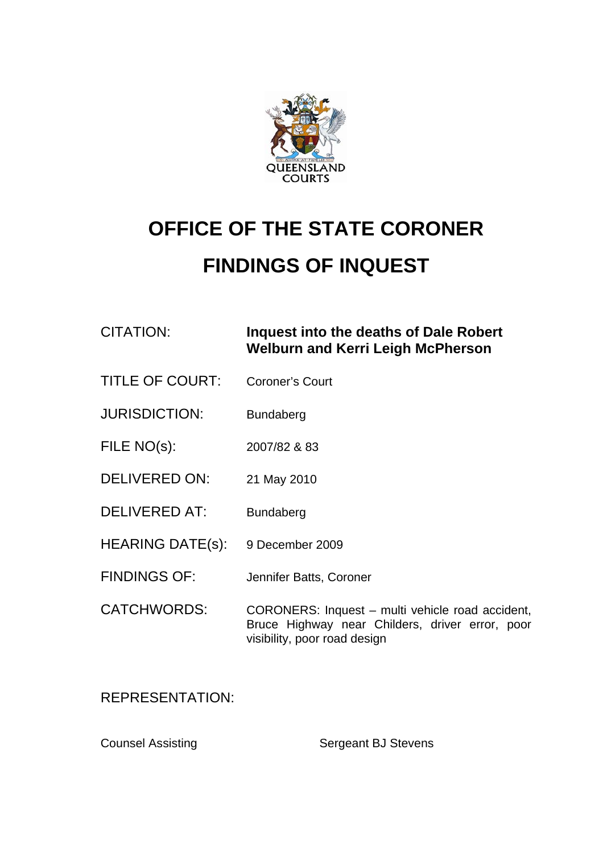

## **OFFICE OF THE STATE CORONER FINDINGS OF INQUEST**

CITATION: **Inquest into the deaths of Dale Robert Welburn and Kerri Leigh McPherson** 

- TITLE OF COURT: Coroner's Court
- JURISDICTION: Bundaberg
- FILE NO(s): 2007/82 & 83
- DELIVERED ON: 21 May 2010
- DELIVERED AT: Bundaberg
- HEARING DATE(s): 9 December 2009
- FINDINGS OF: Jennifer Batts, Coroner
- CATCHWORDS: CORONERS: Inquest multi vehicle road accident, Bruce Highway near Childers, driver error, poor visibility, poor road design

REPRESENTATION:

Counsel Assisting Sergeant BJ Stevens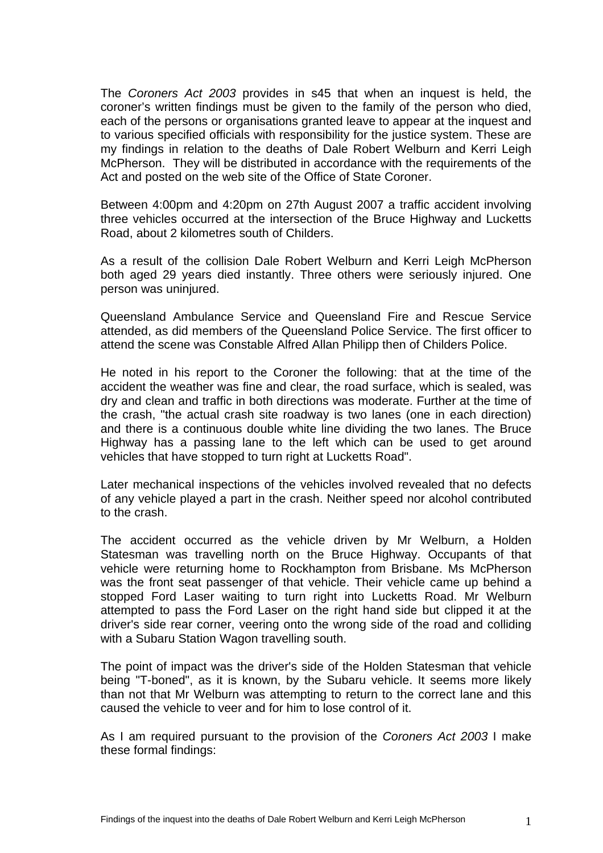The *Coroners Act 2003* provides in s45 that when an inquest is held, the coroner's written findings must be given to the family of the person who died, each of the persons or organisations granted leave to appear at the inquest and to various specified officials with responsibility for the justice system. These are my findings in relation to the deaths of Dale Robert Welburn and Kerri Leigh McPherson. They will be distributed in accordance with the requirements of the Act and posted on the web site of the Office of State Coroner.

Between 4:00pm and 4:20pm on 27th August 2007 a traffic accident involving three vehicles occurred at the intersection of the Bruce Highway and Lucketts Road, about 2 kilometres south of Childers.

As a result of the collision Dale Robert Welburn and Kerri Leigh McPherson both aged 29 years died instantly. Three others were seriously injured. One person was uninjured.

Queensland Ambulance Service and Queensland Fire and Rescue Service attended, as did members of the Queensland Police Service. The first officer to attend the scene was Constable Alfred Allan Philipp then of Childers Police.

He noted in his report to the Coroner the following: that at the time of the accident the weather was fine and clear, the road surface, which is sealed, was dry and clean and traffic in both directions was moderate. Further at the time of the crash, "the actual crash site roadway is two lanes (one in each direction) and there is a continuous double white line dividing the two lanes. The Bruce Highway has a passing lane to the left which can be used to get around vehicles that have stopped to turn right at Lucketts Road".

Later mechanical inspections of the vehicles involved revealed that no defects of any vehicle played a part in the crash. Neither speed nor alcohol contributed to the crash.

The accident occurred as the vehicle driven by Mr Welburn, a Holden Statesman was travelling north on the Bruce Highway. Occupants of that vehicle were returning home to Rockhampton from Brisbane. Ms McPherson was the front seat passenger of that vehicle. Their vehicle came up behind a stopped Ford Laser waiting to turn right into Lucketts Road. Mr Welburn attempted to pass the Ford Laser on the right hand side but clipped it at the driver's side rear corner, veering onto the wrong side of the road and colliding with a Subaru Station Wagon travelling south.

The point of impact was the driver's side of the Holden Statesman that vehicle being "T-boned", as it is known, by the Subaru vehicle. It seems more likely than not that Mr Welburn was attempting to return to the correct lane and this caused the vehicle to veer and for him to lose control of it.

As I am required pursuant to the provision of the *Coroners Act 2003* I make these formal findings: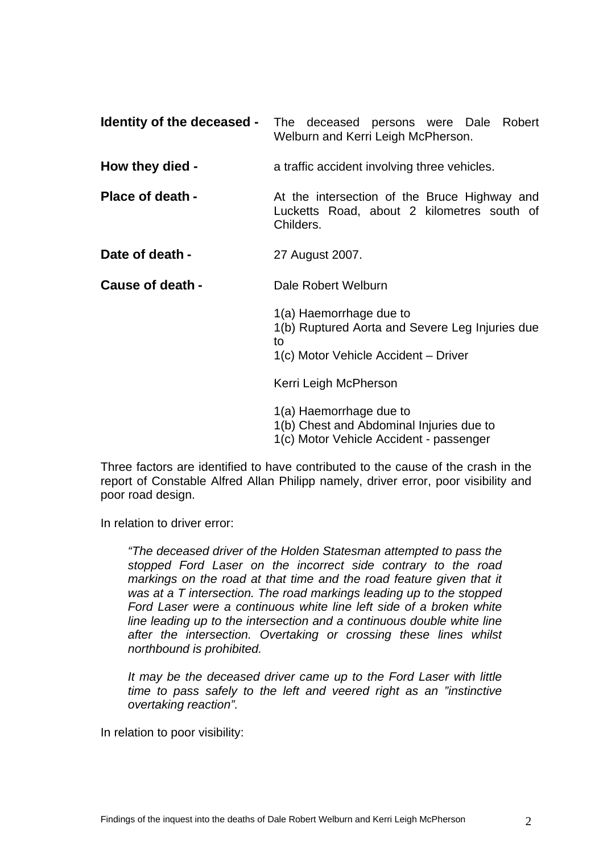|                         | <b>Identity of the deceased -</b> The deceased persons were Dale Robert<br>Welburn and Kerri Leigh McPherson.            |
|-------------------------|--------------------------------------------------------------------------------------------------------------------------|
| How they died -         | a traffic accident involving three vehicles.                                                                             |
| <b>Place of death -</b> | At the intersection of the Bruce Highway and<br>Lucketts Road, about 2 kilometres south of<br>Childers.                  |
| Date of death -         | 27 August 2007.                                                                                                          |
| Cause of death -        | Dale Robert Welburn                                                                                                      |
|                         | 1(a) Haemorrhage due to<br>1(b) Ruptured Aorta and Severe Leg Injuries due<br>to<br>1(c) Motor Vehicle Accident – Driver |
|                         | Kerri Leigh McPherson                                                                                                    |
|                         | 1(a) Haemorrhage due to<br>1(b) Chest and Abdominal Injuries due to                                                      |

1(c) Motor Vehicle Accident - passenger

Three factors are identified to have contributed to the cause of the crash in the report of Constable Alfred Allan Philipp namely, driver error, poor visibility and poor road design.

In relation to driver error:

*"The deceased driver of the Holden Statesman attempted to pass the stopped Ford Laser on the incorrect side contrary to the road markings on the road at that time and the road feature given that it was at a T intersection. The road markings leading up to the stopped Ford Laser were a continuous white line left side of a broken white line leading up to the intersection and a continuous double white line after the intersection. Overtaking or crossing these lines whilst northbound is prohibited.* 

*It may be the deceased driver came up to the Ford Laser with little time to pass safely to the left and veered right as an "instinctive overtaking reaction".* 

In relation to poor visibility: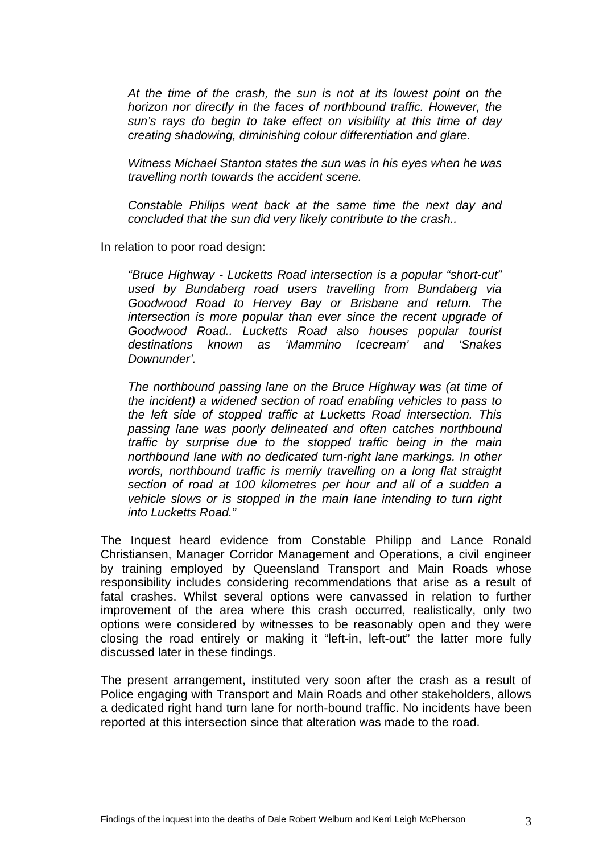*At the time of the crash, the sun is not at its lowest point on the horizon nor directly in the faces of northbound traffic. However, the sun's rays do begin to take effect on visibility at this time of day creating shadowing, diminishing colour differentiation and glare.* 

*Witness Michael Stanton states the sun was in his eyes when he was travelling north towards the accident scene.* 

*Constable Philips went back at the same time the next day and concluded that the sun did very likely contribute to the crash..*

In relation to poor road design:

*"Bruce Highway - Lucketts Road intersection is a popular "short-cut" used by Bundaberg road users travelling from Bundaberg via Goodwood Road to Hervey Bay or Brisbane and return. The intersection is more popular than ever since the recent upgrade of Goodwood Road.. Lucketts Road also houses popular tourist destinations known as 'Mammino Icecream' and 'Snakes Downunder'.* 

*The northbound passing lane on the Bruce Highway was (at time of the incident) a widened section of road enabling vehicles to pass to the left side of stopped traffic at Lucketts Road intersection. This passing lane was poorly delineated and often catches northbound traffic by surprise due to the stopped traffic being in the main northbound lane with no dedicated turn-right lane markings. In other words, northbound traffic is merrily travelling on a long flat straight section of road at 100 kilometres per hour and all of a sudden a vehicle slows or is stopped in the main lane intending to turn right into Lucketts Road."*

The Inquest heard evidence from Constable Philipp and Lance Ronald Christiansen, Manager Corridor Management and Operations, a civil engineer by training employed by Queensland Transport and Main Roads whose responsibility includes considering recommendations that arise as a result of fatal crashes. Whilst several options were canvassed in relation to further improvement of the area where this crash occurred, realistically, only two options were considered by witnesses to be reasonably open and they were closing the road entirely or making it "left-in, left-out" the latter more fully discussed later in these findings.

The present arrangement, instituted very soon after the crash as a result of Police engaging with Transport and Main Roads and other stakeholders, allows a dedicated right hand turn lane for north-bound traffic. No incidents have been reported at this intersection since that alteration was made to the road.